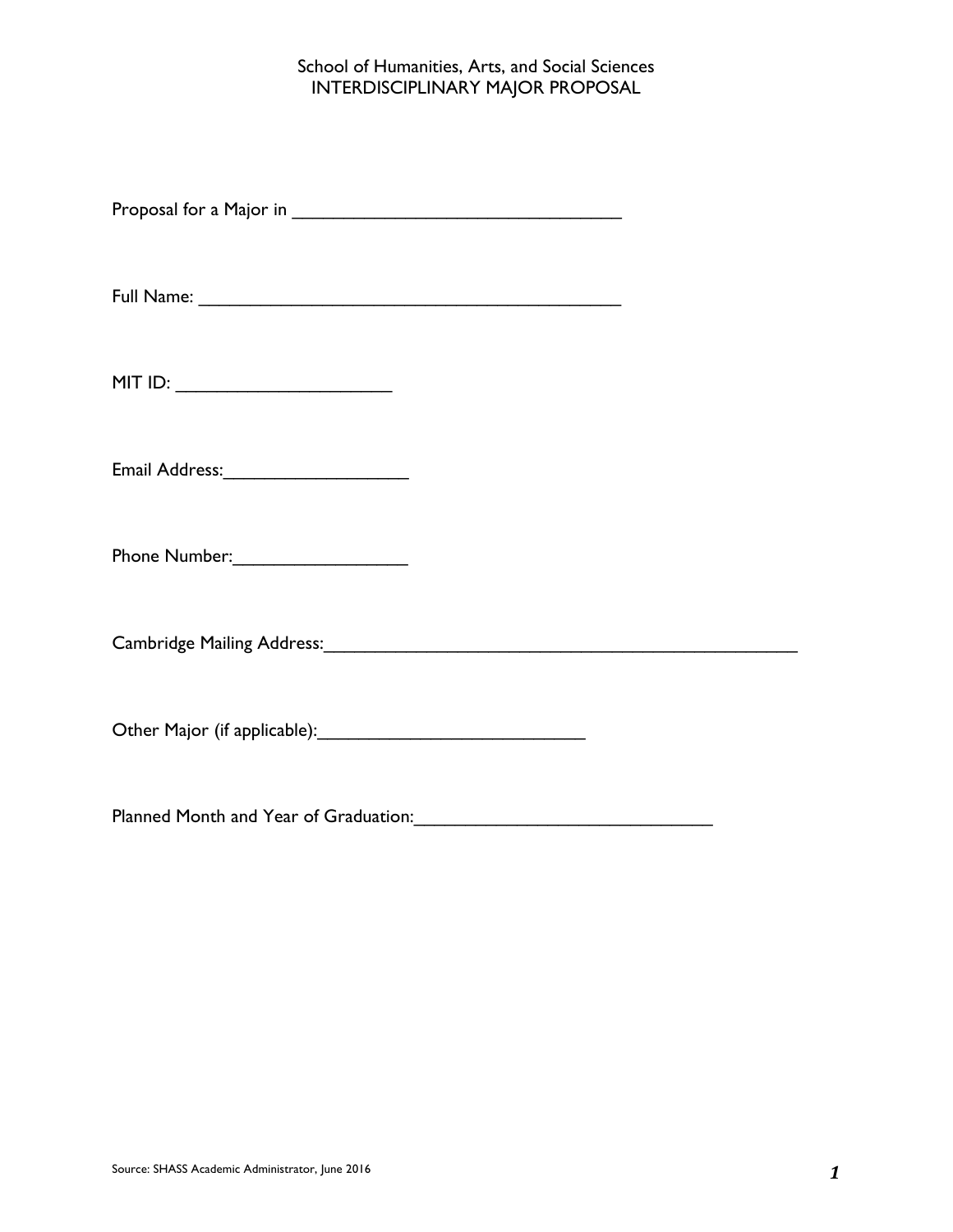## School of Humanities, Arts, and Social Sciences INTERDISCIPLINARY MAJOR PROPOSAL

Proposal for a Major in \_\_\_\_\_\_\_\_\_\_\_\_\_\_\_\_\_\_\_\_\_\_\_\_\_\_\_\_\_\_\_\_

Full Name: \_\_\_\_\_\_\_\_\_\_\_\_\_\_\_\_\_\_\_\_\_\_\_\_\_\_\_\_\_\_\_\_\_\_\_\_\_\_\_\_\_

Email Address:\_\_\_\_\_\_\_\_\_\_\_\_\_\_\_\_\_\_

Phone Number:\_\_\_\_\_\_\_\_\_\_\_\_\_\_\_\_\_

Cambridge Mailing Address: Cambridge Mailing Address:

Other Major (if applicable):\_\_\_\_\_\_\_\_\_\_\_\_\_\_\_\_\_\_\_\_\_\_\_\_\_\_

Planned Month and Year of Graduation:\_\_\_\_\_\_\_\_\_\_\_\_\_\_\_\_\_\_\_\_\_\_\_\_\_\_\_\_\_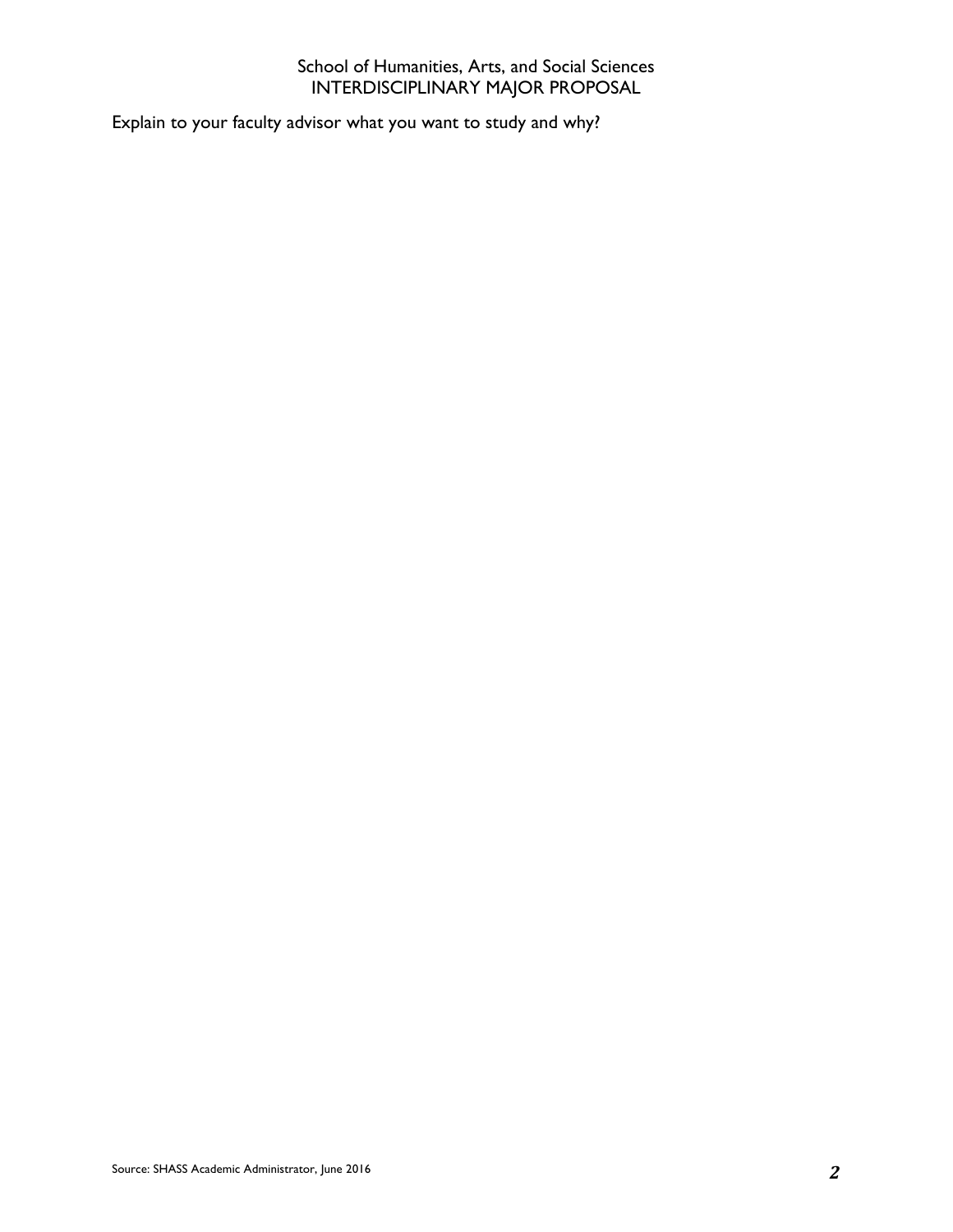## School of Humanities, Arts, and Social Sciences INTERDISCIPLINARY MAJOR PROPOSAL

Explain to your faculty advisor what you want to study and why?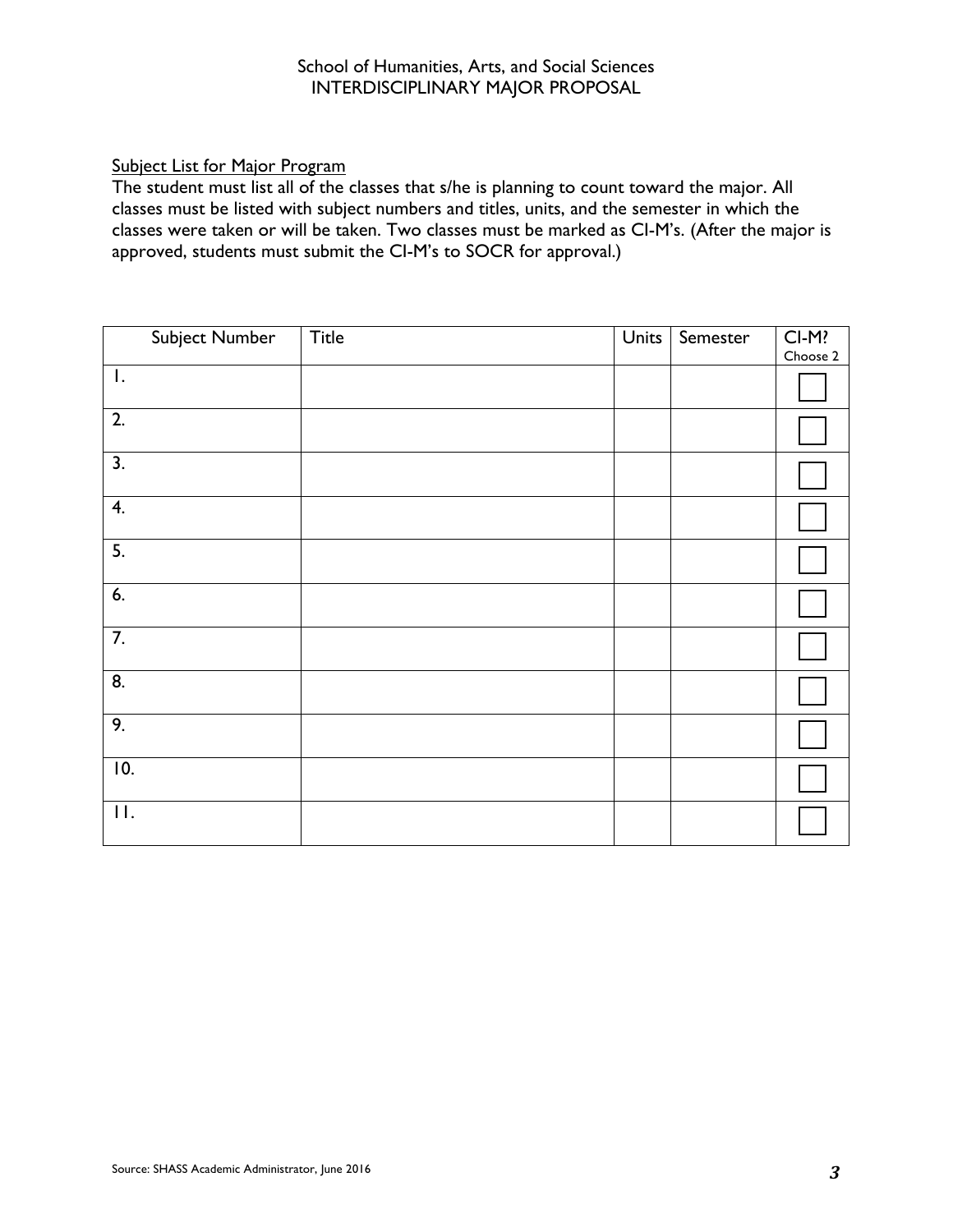## Subject List for Major Program

The student must list all of the classes that s/he is planning to count toward the major. All classes must be listed with subject numbers and titles, units, and the semester in which the classes were taken or will be taken. Two classes must be marked as CI-M's. (After the major is approved, students must submit the CI-M's to SOCR for approval.)

|                  | Subject Number | <b>Title</b> | <b>Units</b> | Semester | $CL-M?$  |
|------------------|----------------|--------------|--------------|----------|----------|
|                  |                |              |              |          | Choose 2 |
| $\mathsf{I}.$    |                |              |              |          |          |
| $\overline{2}$ . |                |              |              |          |          |
| $\overline{3}$ . |                |              |              |          |          |
| 4.               |                |              |              |          |          |
| $\overline{5}$ . |                |              |              |          |          |
| 6.               |                |              |              |          |          |
| $\overline{7}$ . |                |              |              |          |          |
| 8.               |                |              |              |          |          |
| 9.               |                |              |              |          |          |
| 10.              |                |              |              |          |          |
| $\Pi$ .          |                |              |              |          |          |